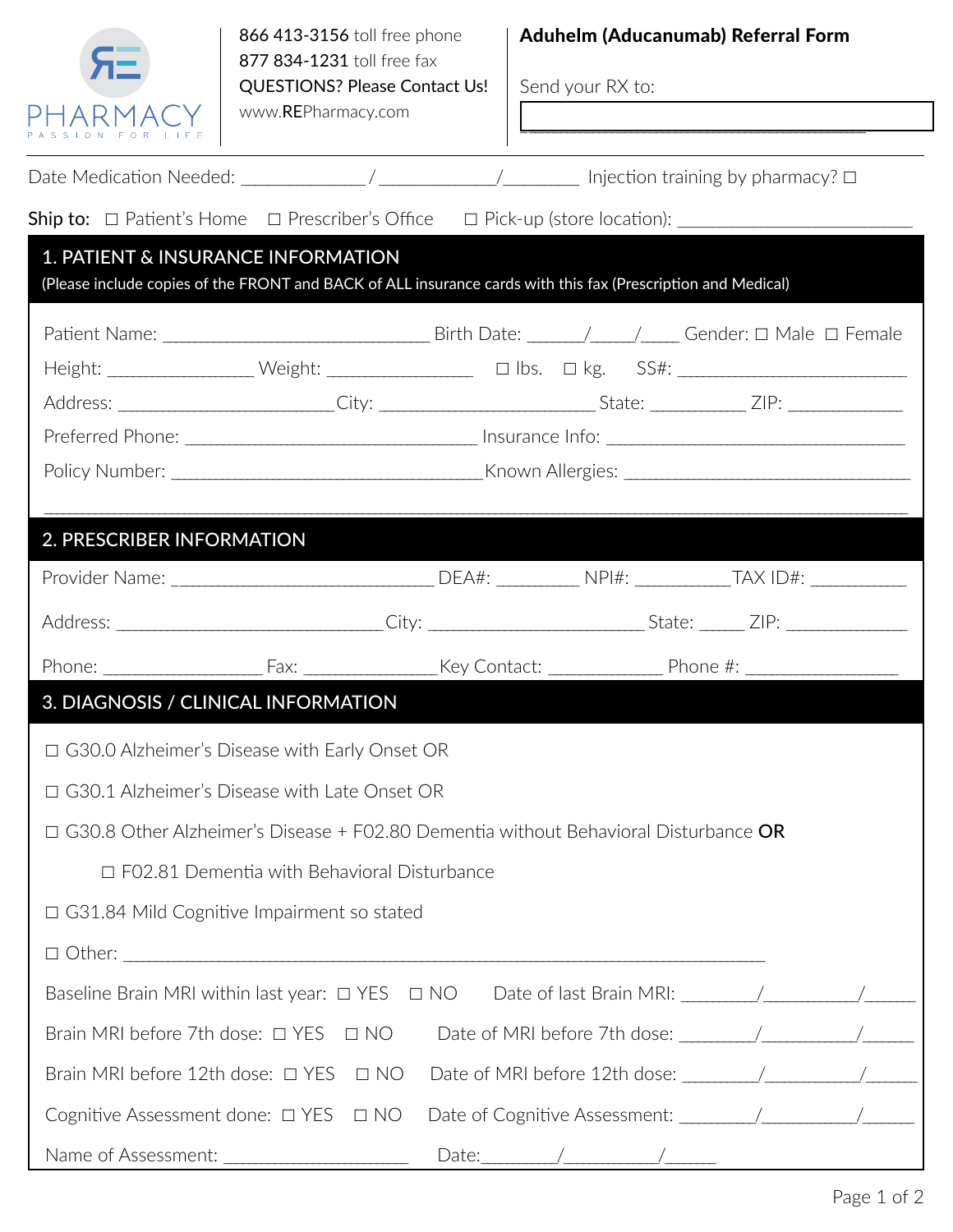

866 413-3156 toll free phone 877 834-1231 toll free fax QUESTIONS? Please Contact Us! www.REPharmacy.com

## Aduhelm (Aducanumab) Referral Form

\_\_\_\_\_\_\_\_\_\_\_\_\_\_\_\_\_\_\_\_\_\_\_\_\_\_\_\_\_\_\_\_\_\_\_\_\_\_\_\_\_\_\_\_\_\_\_\_\_\_\_\_\_\_

**RE Pharmacy / Irvine / 949 393-5780 phone / 949 3935790 fax Palm Desert / 760 340-3248 phone / 760 349-3258 fax**

Send your RX to:

| 1. PATIENT & INSURANCE INFORMATION<br>(Please include copies of the FRONT and BACK of ALL insurance cards with this fax (Prescription and Medical) |                                                    |  |  |                       |  |
|----------------------------------------------------------------------------------------------------------------------------------------------------|----------------------------------------------------|--|--|-----------------------|--|
|                                                                                                                                                    |                                                    |  |  |                       |  |
|                                                                                                                                                    |                                                    |  |  |                       |  |
|                                                                                                                                                    |                                                    |  |  |                       |  |
| Address: _________________________City: ____________________________State: ______________ZIP: ________________                                     |                                                    |  |  |                       |  |
|                                                                                                                                                    |                                                    |  |  |                       |  |
|                                                                                                                                                    |                                                    |  |  |                       |  |
| 2. PRESCRIBER INFORMATION                                                                                                                          |                                                    |  |  |                       |  |
|                                                                                                                                                    |                                                    |  |  |                       |  |
| Address: ______________________________City: ___________________________State: _______ ZIP: __________________                                     |                                                    |  |  |                       |  |
|                                                                                                                                                    |                                                    |  |  |                       |  |
| 3. DIAGNOSIS / CLINICAL INFORMATION                                                                                                                |                                                    |  |  |                       |  |
| $\Box$ G30.0 Alzheimer's Disease with Early Onset OR                                                                                               |                                                    |  |  |                       |  |
| □ G30.1 Alzheimer's Disease with Late Onset OR                                                                                                     |                                                    |  |  |                       |  |
| $\Box$ G30.8 Other Alzheimer's Disease + F02.80 Dementia without Behavioral Disturbance <b>OR</b>                                                  |                                                    |  |  |                       |  |
|                                                                                                                                                    | $\Box$ F02.81 Dementia with Behavioral Disturbance |  |  |                       |  |
| $\Box$ G31.84 Mild Cognitive Impairment so stated                                                                                                  |                                                    |  |  |                       |  |
| $\Box$ $\Box$                                                                                                                                      |                                                    |  |  |                       |  |
| Baseline Brain MRI within last year: □ YES □ NO Date of last Brain MRI: ___________________________                                                |                                                    |  |  |                       |  |
| Brain MRI before 7th dose: $\Box$ YES                                                                                                              | $\Box$ NO                                          |  |  |                       |  |
| Brain MRI before 12th dose: □ YES                                                                                                                  | $\Box$ NO                                          |  |  |                       |  |
| Cognitive Assessment done: $\Box$ YES                                                                                                              | $\Box$ NO                                          |  |  |                       |  |
|                                                                                                                                                    |                                                    |  |  | Date: $\sqrt{2\pi r}$ |  |